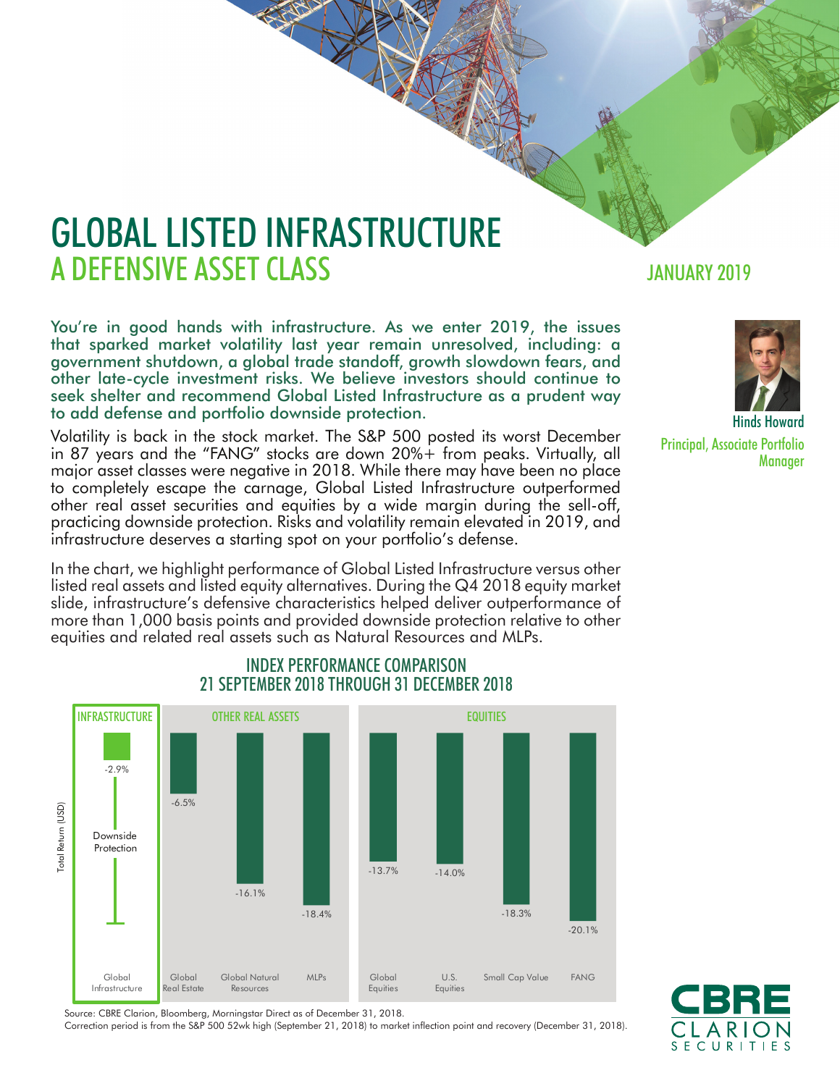# GLOBAL LISTED INFRASTRUCTURE A DEFENSIVE ASSET CLASS **A SECULARY 2019**

You're in good hands with infrastructure. As we enter 2019, the issues that sparked market volatility last year remain unresolved, including: a government shutdown, a global trade standoff, growth slowdown fears, and other late-cycle investment risks. We believe investors should continue to seek shelter and recommend Global Listed Infrastructure as a prudent way to add defense and portfolio downside protection.

Volatility is back in the stock market. The S&P 500 posted its worst December in 87 years and the "FANG" stocks are down 20%+ from peaks. Virtually, all major asset classes were negative in 2018. While there may have been no place to completely escape the carnage, Global Listed Infrastructure outperformed other real asset securities and equities by a wide margin during the sell-off, practicing downside protection. Risks and volatility remain elevated in 2019, and infrastructure deserves a starting spot on your portfolio's defense.

In the chart, we highlight performance of Global Listed Infrastructure versus other listed real assets and listed equity alternatives. During the Q4 2018 equity market slide, infrastructure's defensive characteristics helped deliver outperformance of more than 1,000 basis points and provided downside protection relative to other equities and related real assets such as Natural Resources and MLPs.

#### INFRASTRUCTURE OTHER REAL ASSETS EQUITIES -2.9%  $-6.5%$ Total Return (USD) **Total Return (USD) Downside** Protection $-13.7\%$   $-14.0\%$ -16.1% -18.4% -18.3% -20.1% Global Global Global Natural MLPs Global U.S. Small Cap Value FANG Infrastructure Real Estate Equities **Equities** Resources

INDEX PERFORMANCE COMPARISON 21 SEPTEMBER 2018 THROUGH 31 DECEMBER 2018

Source: CBRE Clarion, Bloomberg, Morningstar Direct as of December 31, 2018.

Correction period is from the S&P 500 52wk high (September 21, 2018) to market inflection point and recovery (December 31, 2018).



Hinds Howard Principal, Associate Portfolio **Manager** 

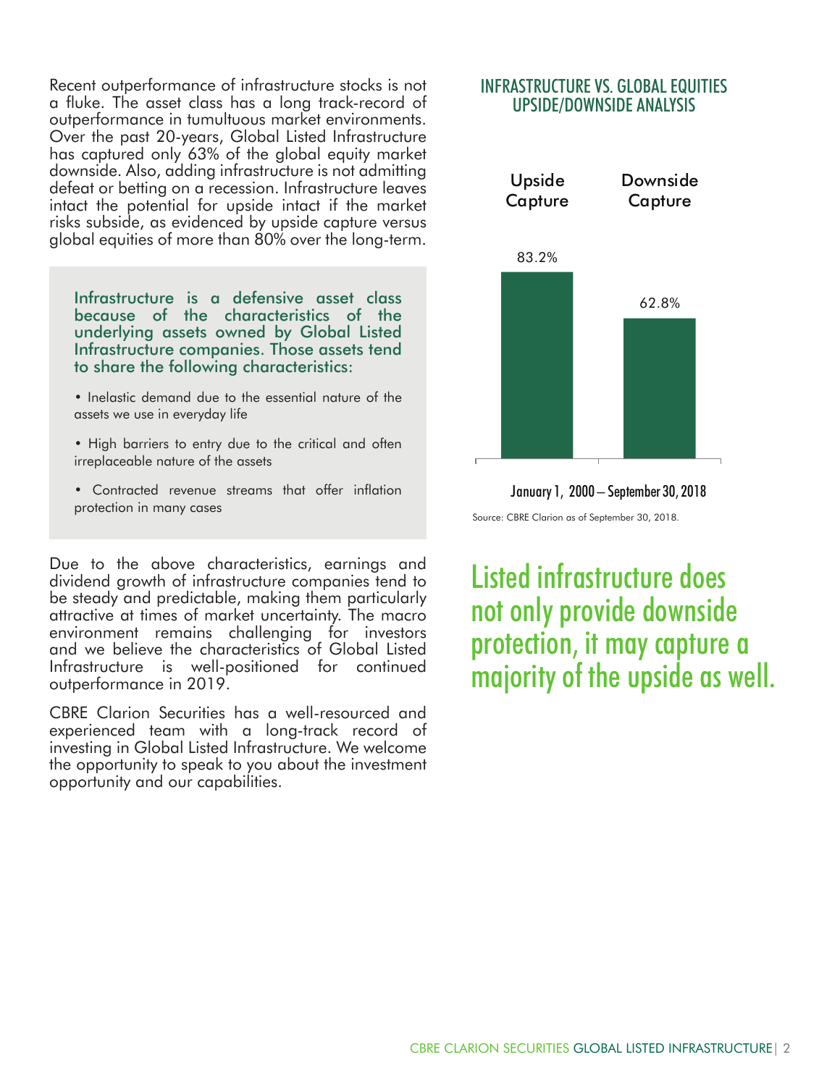Recent outperformance of infrastructure stocks is not a fluke. The asset class has a long track-record of outperformance in tumultuous market environments. Over the past 20-years, Global Listed Infrastructure has captured only 63% of the global equity market downside. Also, adding infrastructure is not admitting defeat or betting on a recession. Infrastructure leaves intact the potential for upside intact if the market risks subside, as evidenced by upside capture versus global equities of more than 80% over the long-term.

Infrastructure is a defensive asset class because of the characteristics of the underlying assets owned by Global Listed Infrastructure companies. Those assets tend to share the following characteristics:

- Inelastic demand due to the essential nature of the assets we use in everyday life
- High barriers to entry due to the critical and often irreplaceable nature of the assets
- Contracted revenue streams that offer inflation protection in many cases

Due to the above characteristics, earnings and dividend growth of infrastructure companies tend to be steady and predictable, making them particularly attractive at times of market uncertainty. The macro environment remains challenging for investors and we believe the characteristics of Global Listed Infrastructure is well-positioned for continued outperformance in 2019.

CBRE Clarion Securities has a well-resourced and experienced team with a long-track record of investing in Global Listed Infrastructure. We welcome the opportunity to speak to you about the investment opportunity and our capabilities.

#### INFRASTRUCTURE VS. GLOBAL EQUITIES UPSIDE/DOWNSIDE ANALYSIS



January 1, 2000 – September 30, 2018

Source: CBRE Clarion as of September 30, 2018.

Listed infrastructure does not only provide downside protection, it may capture a majority of the upside as well.